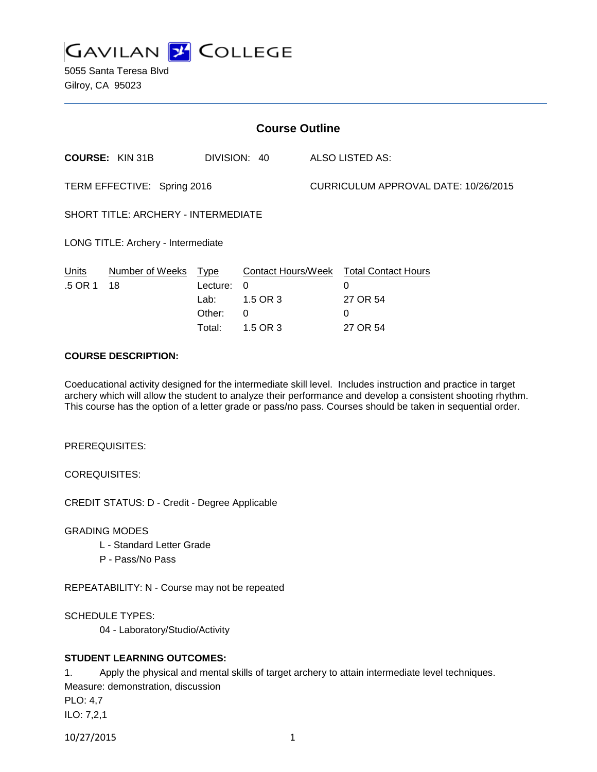

5055 Santa Teresa Blvd Gilroy, CA 95023

| <b>Course Outline</b>               |                        |          |              |                                      |                                        |
|-------------------------------------|------------------------|----------|--------------|--------------------------------------|----------------------------------------|
|                                     | <b>COURSE: KIN 31B</b> |          | DIVISION: 40 |                                      | ALSO LISTED AS:                        |
| TERM EFFECTIVE: Spring 2016         |                        |          |              | CURRICULUM APPROVAL DATE: 10/26/2015 |                                        |
| SHORT TITLE: ARCHERY - INTERMEDIATE |                        |          |              |                                      |                                        |
| LONG TITLE: Archery - Intermediate  |                        |          |              |                                      |                                        |
| <u>Units</u>                        | Number of Weeks Type   |          |              |                                      | Contact Hours/Week Total Contact Hours |
| .5 OR 1                             | 18                     | Lecture: | $\Omega$     |                                      | 0                                      |
|                                     |                        | Lab:     | 1.5 OR 3     |                                      | 27 OR 54                               |
|                                     |                        | Other:   | 0            |                                      | 0                                      |
|                                     |                        | Total:   | 1.5 OR 3     |                                      | 27 OR 54                               |

## **COURSE DESCRIPTION:**

Coeducational activity designed for the intermediate skill level. Includes instruction and practice in target archery which will allow the student to analyze their performance and develop a consistent shooting rhythm. This course has the option of a letter grade or pass/no pass. Courses should be taken in sequential order.

PREREQUISITES:

COREQUISITES:

CREDIT STATUS: D - Credit - Degree Applicable

GRADING MODES

- L Standard Letter Grade
- P Pass/No Pass

REPEATABILITY: N - Course may not be repeated

SCHEDULE TYPES:

04 - Laboratory/Studio/Activity

## **STUDENT LEARNING OUTCOMES:**

1. Apply the physical and mental skills of target archery to attain intermediate level techniques. Measure: demonstration, discussion PLO: 4,7 ILO: 7,2,1

10/27/2015 1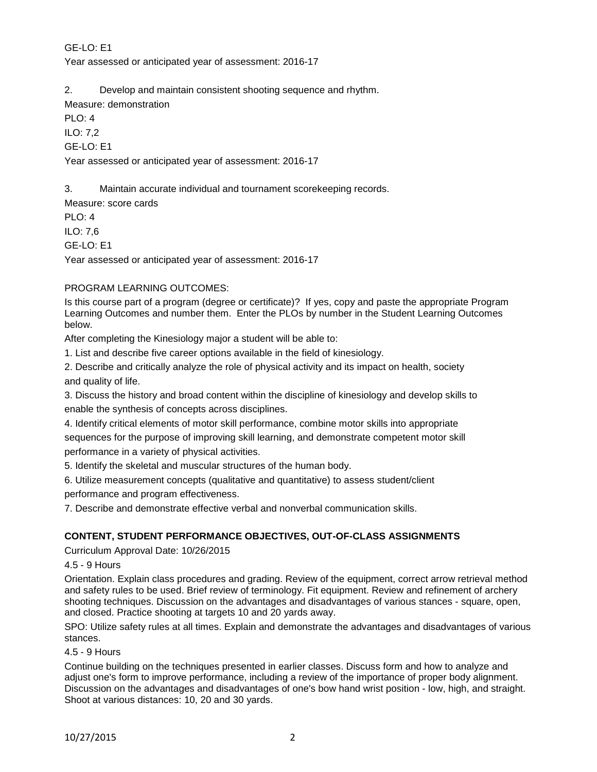# GE-LO: E1

Year assessed or anticipated year of assessment: 2016-17

2. Develop and maintain consistent shooting sequence and rhythm.

Measure: demonstration

PLO: 4 ILO: 7,2 GE-LO: E1

Year assessed or anticipated year of assessment: 2016-17

3. Maintain accurate individual and tournament scorekeeping records.

Measure: score cards

PLO: 4

ILO: 7,6

GE-LO: E1

Year assessed or anticipated year of assessment: 2016-17

## PROGRAM LEARNING OUTCOMES:

Is this course part of a program (degree or certificate)? If yes, copy and paste the appropriate Program Learning Outcomes and number them. Enter the PLOs by number in the Student Learning Outcomes below.

After completing the Kinesiology major a student will be able to:

1. List and describe five career options available in the field of kinesiology.

2. Describe and critically analyze the role of physical activity and its impact on health, society and quality of life.

3. Discuss the history and broad content within the discipline of kinesiology and develop skills to enable the synthesis of concepts across disciplines.

4. Identify critical elements of motor skill performance, combine motor skills into appropriate sequences for the purpose of improving skill learning, and demonstrate competent motor skill performance in a variety of physical activities.

5. Identify the skeletal and muscular structures of the human body.

6. Utilize measurement concepts (qualitative and quantitative) to assess student/client performance and program effectiveness.

7. Describe and demonstrate effective verbal and nonverbal communication skills.

# **CONTENT, STUDENT PERFORMANCE OBJECTIVES, OUT-OF-CLASS ASSIGNMENTS**

Curriculum Approval Date: 10/26/2015

4.5 - 9 Hours

Orientation. Explain class procedures and grading. Review of the equipment, correct arrow retrieval method and safety rules to be used. Brief review of terminology. Fit equipment. Review and refinement of archery shooting techniques. Discussion on the advantages and disadvantages of various stances - square, open, and closed. Practice shooting at targets 10 and 20 yards away.

SPO: Utilize safety rules at all times. Explain and demonstrate the advantages and disadvantages of various stances.

## 4.5 - 9 Hours

Continue building on the techniques presented in earlier classes. Discuss form and how to analyze and adjust one's form to improve performance, including a review of the importance of proper body alignment. Discussion on the advantages and disadvantages of one's bow hand wrist position - low, high, and straight. Shoot at various distances: 10, 20 and 30 yards.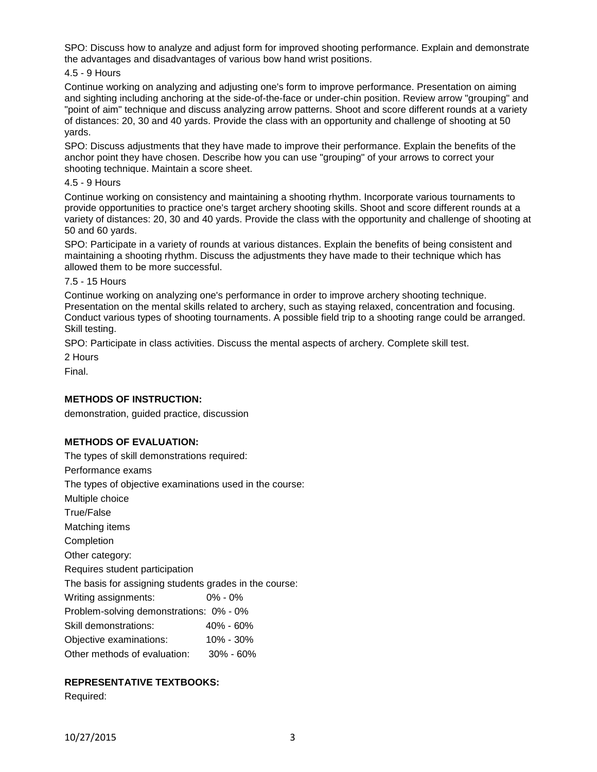SPO: Discuss how to analyze and adjust form for improved shooting performance. Explain and demonstrate the advantages and disadvantages of various bow hand wrist positions.

4.5 - 9 Hours

Continue working on analyzing and adjusting one's form to improve performance. Presentation on aiming and sighting including anchoring at the side-of-the-face or under-chin position. Review arrow "grouping" and "point of aim" technique and discuss analyzing arrow patterns. Shoot and score different rounds at a variety of distances: 20, 30 and 40 yards. Provide the class with an opportunity and challenge of shooting at 50 yards.

SPO: Discuss adjustments that they have made to improve their performance. Explain the benefits of the anchor point they have chosen. Describe how you can use "grouping" of your arrows to correct your shooting technique. Maintain a score sheet.

4.5 - 9 Hours

Continue working on consistency and maintaining a shooting rhythm. Incorporate various tournaments to provide opportunities to practice one's target archery shooting skills. Shoot and score different rounds at a variety of distances: 20, 30 and 40 yards. Provide the class with the opportunity and challenge of shooting at 50 and 60 yards.

SPO: Participate in a variety of rounds at various distances. Explain the benefits of being consistent and maintaining a shooting rhythm. Discuss the adjustments they have made to their technique which has allowed them to be more successful.

#### 7.5 - 15 Hours

Continue working on analyzing one's performance in order to improve archery shooting technique. Presentation on the mental skills related to archery, such as staying relaxed, concentration and focusing. Conduct various types of shooting tournaments. A possible field trip to a shooting range could be arranged. Skill testing.

SPO: Participate in class activities. Discuss the mental aspects of archery. Complete skill test.

2 Hours

Final.

#### **METHODS OF INSTRUCTION:**

demonstration, guided practice, discussion

## **METHODS OF EVALUATION:**

The types of skill demonstrations required:

Performance exams

The types of objective examinations used in the course:

Multiple choice

True/False

Matching items

Completion

Other category:

Requires student participation

The basis for assigning students grades in the course:

Writing assignments: 0% - 0% Problem-solving demonstrations: 0% - 0%

Skill demonstrations: 40% - 60%

- Objective examinations: 10% 30%
- Other methods of evaluation: 30% 60%

## **REPRESENTATIVE TEXTBOOKS:**

Required: